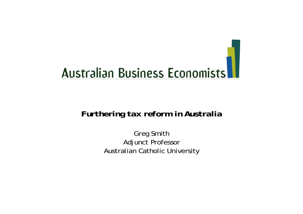

#### *Furthering tax reform in Australia*

Greg Smith Adjunct Professor Australian Catholic University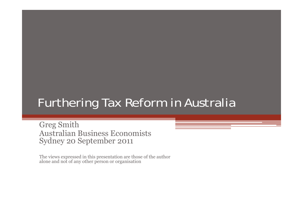#### Furthering Tax Reform in Australia

Greg Smith Australian Business Economists Sydney 20 September 2011

The views expressed in this presentation are those of the author alone and not of any other person or organisation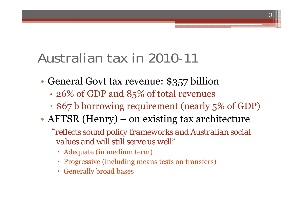# Australian tax in 2010-11

- $\bigcirc$  General Govt tax revenue: \$357 billion
	- 26% of GDP and 85% of total revenues
	- \$67 b borrowing requirement (nearly 5% of GDP)

- $\bigcirc$  AFTSR (Henry) – on existing tax architecture
	- "*reflects sound policy frameworks and Australian social values and will still serve us well*"
		- Adequate (in medium term)
		- Progressive (including means tests on transfers)
		- Generally broad bases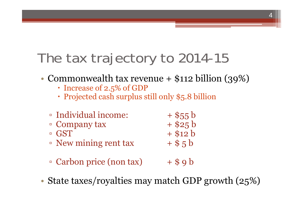# The tax trajectory to 2014-15

 $\bullet$ Commonwealth tax revenue + \$112 billion (39%)

- Increase of 2.5% of GDP
- Projected cash surplus still only \$5.8 billion
- **Individual income:**  $+$  \$55 b  $\overline{1}$  Company tax  $\overline{1}$  + \$25 b □ GST  $+$ \$12 b
- $\textdegree$  New mining rent tax  $\textdegree$  + \$ 5 b
- $\overline{\phantom{a}}$  Carbon price (non tax)  $\overline{\phantom{a}}$  + \$ 9 b
- $\bullet$ State taxes/royalties may match GDP growth (25%)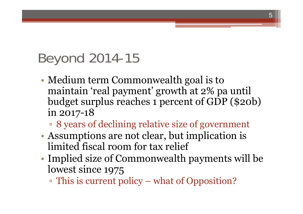# Beyond 2014-15

 $\bigcirc$  Medium term Commonwealth goal is to maintain 'real payment' growth at 2% pa until budget surplus reaches 1 percent of GDP (\$20b) in 2017-18

- 8 years of declining relative size of government
- $\bullet$  Assumptions are not clear, but implication is limited fiscal room for tax relief
- • Implied size of Commonwealth payments will be lowest since 1975
	- This is current policy what of Opposition?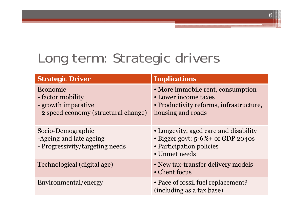# Long term: Strategic drivers

| <b>Strategic Driver</b>                                                                       | <b>Implications</b>                                                                                                              |
|-----------------------------------------------------------------------------------------------|----------------------------------------------------------------------------------------------------------------------------------|
| Economic<br>- factor mobility<br>- growth imperative<br>- 2 speed economy (structural change) | • More immobile rent, consumption<br>• Lower income taxes<br>• Productivity reforms, infrastructure,<br>housing and roads        |
| Socio-Demographic<br>-Ageing and late ageing<br>- Progressivity/targeting needs               | • Longevity, aged care and disability<br>$\bullet$ Bigger govt: 5-6% + of GDP 2040s<br>• Participation policies<br>• Unmet needs |
| Technological (digital age)                                                                   | • New tax-transfer delivery models<br>• Client focus                                                                             |
| Environmental/energy                                                                          | • Pace of fossil fuel replacement?<br>(including as a tax base)                                                                  |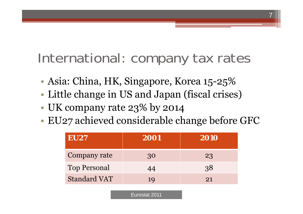International: company tax rates

7

- $\bigcirc$ Asia: China, HK, Singapore, Korea 15-25%
- $\bigcirc$ Little change in US and Japan (fiscal crises)
- $\bigcirc$ UK company rate 23% by 2014
- $\bigcirc$ EU27 achieved considerable change before GFC

| <b>EU27</b>         | 2001 | 2010 |
|---------------------|------|------|
| Company rate        | 30   | 23   |
| <b>Top Personal</b> | 44   | 38   |
| <b>Standard VAT</b> | 19   | 21   |
|                     |      |      |

Eurostat 2011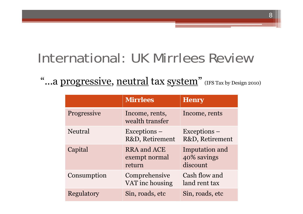# International: UK Mirrlees Review

"...a progressive, neutral tax system" (IFS Tax by Design 2010)

|                    | <b>Mirrlees</b>                        | <b>Henry</b>                              |
|--------------------|----------------------------------------|-------------------------------------------|
| <b>Progressive</b> | Income, rents,<br>wealth transfer      | Income, rents                             |
| Neutral            | $Exceptions -$<br>R&D, Retirement      | $Exceptions -$<br>R&D, Retirement         |
| Capital            | RRA and ACE<br>exempt normal<br>return | Imputation and<br>40% savings<br>discount |
| Consumption        | Comprehensive<br>VAT inc housing       | Cash flow and<br>land rent tax            |
| Regulatory         | Sin, roads, etc                        | Sin, roads, etc                           |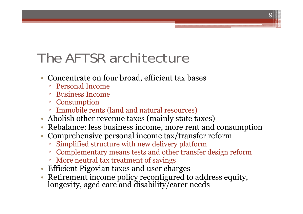# The AFTSR architecture

- Concentrate on four broad, efficient tax bases
	- Personal Income
	- Business Income
	- Consumption
	- Immobile rents (land and natural resources)
- Abolish other revenue taxes (mainly state taxes)
- Rebalance: less business income, more rent and consumption
- Comprehensive personal income tax/transfer reform
	- Simplified structure with new delivery platform
	- Complementary means tests and other transfer design reform
	- More neutral tax treatment of savings
- Efficient Pigovian taxes and user charges
- •Retirement income policy reconfigured to address equity, longevity, aged care and disability/carer needs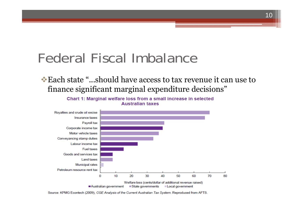## Federal Fiscal Imbalance

#### Each state "...should have access to tax revenue it can use to finance significant marginal expenditure decisions"

10



Chart 1: Marginal welfare loss from a small increase in selected **Australian taxes** 

Source: KPMG Econtech (2009), CGE Analysis of the Current Australian Tax System. Reproduced from AFTS.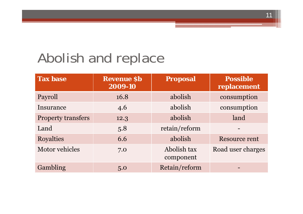# Abolish and replace

| <b>Tax base</b>           | <b>Revenue Sb</b><br>2009-10 | <b>Proposal</b>          | <b>Possible</b><br>replacement |
|---------------------------|------------------------------|--------------------------|--------------------------------|
| Payroll                   | 16.8                         | abolish                  | consumption                    |
| Insurance                 | 4.6                          | abolish                  | consumption                    |
| <b>Property transfers</b> | 12.3                         | abolish                  | land                           |
| Land                      | 5.8                          | retain/reform            |                                |
| <b>Royalties</b>          | 6.6                          | abolish                  | Resource rent                  |
| Motor vehicles            | 7.0                          | Abolish tax<br>component | Road user charges              |
| Gambling                  | 5.0                          | Retain/reform            |                                |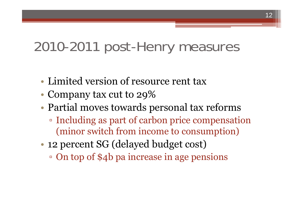### 2010-2011 post-Henry measures

- Limited version of resource rent tax
- $\bigcirc$ • Company tax cut to 29%
- $\bigcirc$  Partial moves towards personal tax reforms
	- Including as part of carbon price compensation (minor switch from income to consumption)
- $\bullet$  12 percent SG (delayed budget cost)
	- On top of \$4b pa increase in age pensions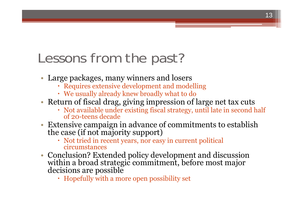# Lessons from the past?

- Large packages, many winners and losers
	- Requires extensive development and modelling
	- We usually already knew broadly what to do
- Return of fiscal drag, giving impression of large net tax cuts
	- Not available under existing fiscal strategy, until late in second half of 20-teens decade
- $\bullet$  Extensive campaign in advance of commitments to establish the case (if not majority support)
	- Not tried in recent years, nor easy in current political circumstances
- Conclusion? Extended policy development and discussion within a broad strategic commitment, before most major decisions are possible
	- Hopefully with a more open possibility set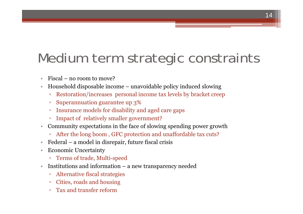# Medium term strategic constraints

- •Fiscal – no room to move?
- • Household disposable income – unavoidable policy induced slowing
	- $\Box$ Restoration/increases personal income tax levels by bracket creep
	- $\Box$ Superannuation guarantee up 3%
	- $\Box$ Insurance models for disability and aged care gaps
	- $\Box$ Impact of relatively smaller government?
- • Community expectations in the face of slowing spending power growth
	- After the long boom , GFC protection and unaffordable tax cuts?
- •Federal – a model in disrepair, future fiscal crisis
- • Economic Uncertainty
	- Terms of trade, Multi-speed
- • Institutions and information – a new transparency needed
	- $\Box$ Alternative fiscal strategies
	- $\Box$ Cities, roads and housing
	- $\Box$ Tax and transfer reform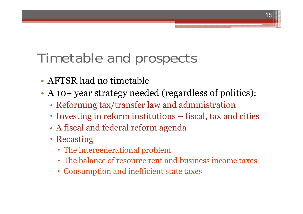# Timetable and prospects

- AFTSR had no timetable
- $\bullet$  A 10+ year strategy needed (regardless of politics):
	- Reforming tax/transfer law and administration
	- Investing in reform institutions fiscal, tax and cities

- A fiscal and federal reform agenda
- Recasting
	- The intergenerational problem
	- The balance of resource rent and business income taxes
	- Consumption and inefficient state taxes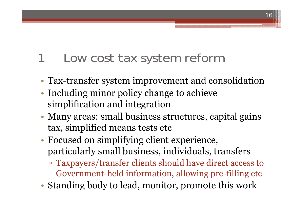#### Low cost tax system reform

•Tax-transfer system improvement and consolidation

- $\bullet$ • Including minor policy change to achieve simplification and integration
- • Many areas: small business structures, capital gains tax, simplified means tests etc
- $\bullet$  Focused on simplifying client experience, particularly small business, individuals, transfers
	- Taxpayers/transfer clients should have direct access to Government-held information, allowing pre-filling etc
- $\bullet$ Standing body to lead, monitor, promote this work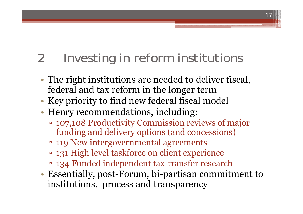## 2 Investing in reform institutions

- $\bullet$  The right institutions are needed to deliver fiscal, federal and tax reform in the longer term
- $\bigcirc$ Key priority to find new federal fiscal model
- $\bullet$  Henry recommendations, including:
	- 107,108 Productivity Commission reviews of major funding and delivery options (and concessions)
	- 119 New intergovernmental agreements
	- 131 High level taskforce on client experience
	- 134 Funded independent tax-transfer research
- $\bullet$  Essentially, post-Forum, bi-partisan commitment to institutions, process and transparency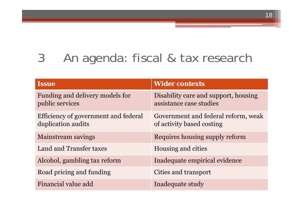#### 3 An agenda: fiscal & tax research

| <b>Issue</b>                                               | <b>Wider contexts</b>                                            |
|------------------------------------------------------------|------------------------------------------------------------------|
| Funding and delivery models for<br>public services         | Disability care and support, housing<br>assistance case studies  |
| Efficiency of government and federal<br>duplication audits | Government and federal reform, weak<br>of activity based costing |
| <b>Mainstream savings</b>                                  | Requires housing supply reform                                   |
| Land and Transfer taxes                                    | Housing and cities                                               |
| Alcohol, gambling tax reform                               | Inadequate empirical evidence                                    |
| Road pricing and funding                                   | Cities and transport                                             |
| Financial value add                                        | Inadequate study                                                 |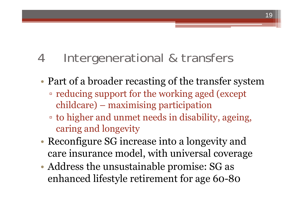#### 4 Intergenerational & transfers

- $\bigcirc$  Part of a broader recasting of the transfer system
	- reducing support for the working aged (except childcare) – maximising participation
	- to higher and unmet needs in disability, ageing, caring and longevity
- • Reconfigure SG increase into a longevity and care insurance model, with universal coverage
- $\bullet$  Address the unsustainable promise: SG as enhanced lifestyle retirement for age 60-80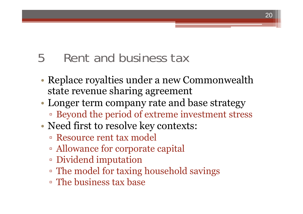#### 5 Rent and business tax

 $\bigcirc$  Replace royalties under a new Commonwealth state revenue sharing agreement

- • Longer term company rate and base strategy ▫ Beyond the period of extreme investment stress
- $\bigcirc$  Need first to resolve key contexts:
	- Resource rent tax model
	- Allowance for corporate capital
	- Dividend imputation
	- The model for taxing household savings
	- The business tax base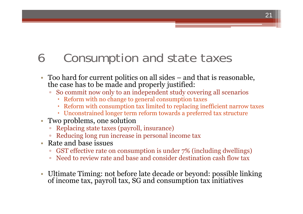#### 6 Consumption and state taxes

- $\bullet$  Too hard for current politics on all sides – and that is reasonable, the case has to be made and properly justified:
	- $\blacksquare$  So commit now only to an independent study covering all scenarios
		- Reform with no change to general consumption taxes
		- Reform with consumption tax limited to replacing inefficient narrow taxes

- Unconstrained longer term reform towards a preferred tax structure
- Two problems, one solution
	- Replacing state taxes (payroll, insurance)
	- Reducing long run increase in personal income tax
- • Rate and base issues
	- □ GST effective rate on consumption is under 7% (including dwellings)
	- Need to review rate and base and consider destination cash flow tax
- Ultimate Timing: not before late decade or beyond: possible linking of income tax, payroll tax, SG and consumption tax initiatives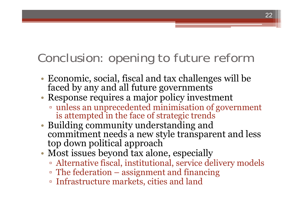### Conclusion: opening to future reform

- $\bullet$ Economic, social, fiscal and tax challenges will be faced by any and all future governments
- • Response requires a major policy investment
	- unless an unprecedented minimisation of government is attempted in the face of strategic trends
- Building community understanding and commitment needs a new style transparent and less top down political approach
- $\bullet$  Most issues beyond tax alone, especially
	- Alternative fiscal, institutional, service delivery models
	- The federation assignment and financing
	- Infrastructure markets, cities and land